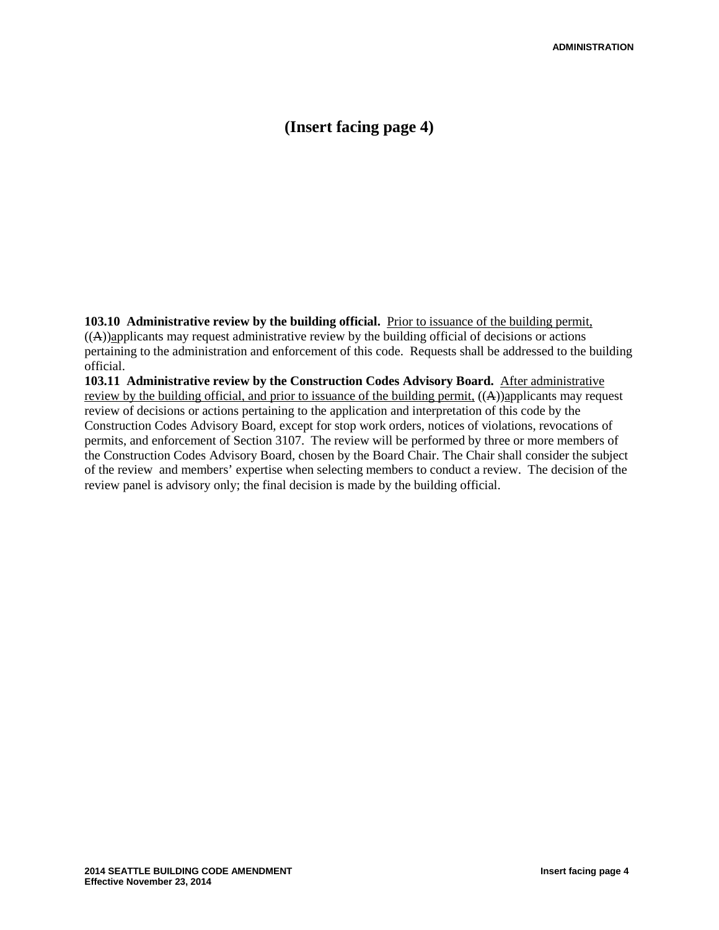# **(Insert facing page 4)**

**103.10 Administrative review by the building official.** Prior to issuance of the building permit,  $((A))$ applicants may request administrative review by the building official of decisions or actions pertaining to the administration and enforcement of this code. Requests shall be addressed to the building official.

**103.11 Administrative review by the Construction Codes Advisory Board.** After administrative review by the building official, and prior to issuance of the building permit,  $(A)$ )applicants may request review of decisions or actions pertaining to the application and interpretation of this code by the Construction Codes Advisory Board, except for stop work orders, notices of violations, revocations of permits, and enforcement of Section 3107. The review will be performed by three or more members of the Construction Codes Advisory Board, chosen by the Board Chair. The Chair shall consider the subject of the review and members' expertise when selecting members to conduct a review. The decision of the review panel is advisory only; the final decision is made by the building official.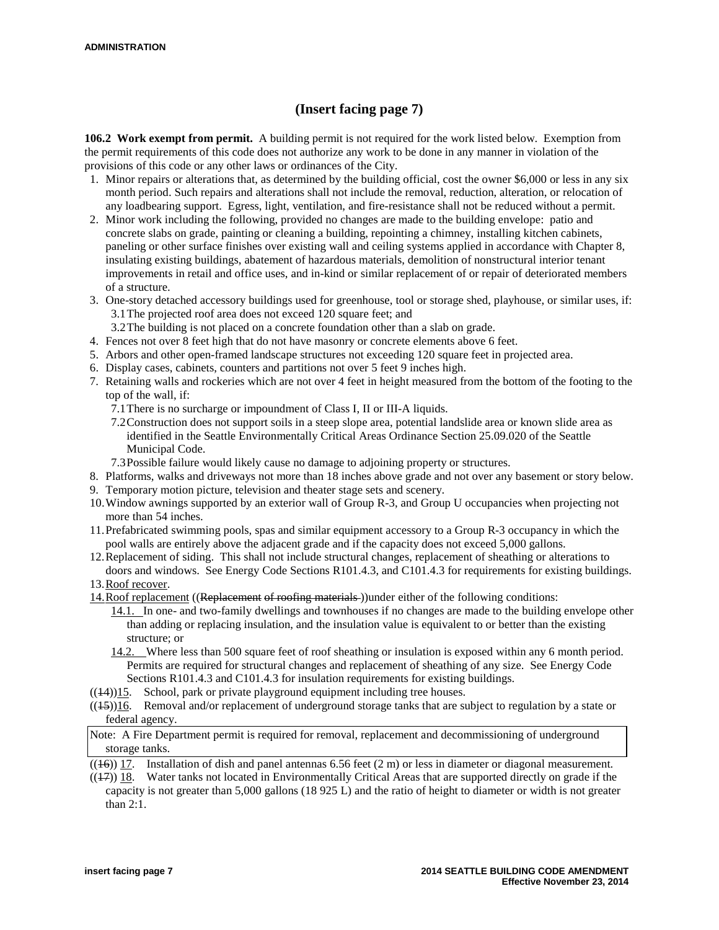# **(Insert facing page 7)**

**106.2 Work exempt from permit.** A building permit is not required for the work listed below. Exemption from the permit requirements of this code does not authorize any work to be done in any manner in violation of the provisions of this code or any other laws or ordinances of the City.

- 1. Minor repairs or alterations that, as determined by the building official, cost the owner \$6,000 or less in any six month period. Such repairs and alterations shall not include the removal, reduction, alteration, or relocation of any loadbearing support. Egress, light, ventilation, and fire-resistance shall not be reduced without a permit.
- 2. Minor work including the following, provided no changes are made to the building envelope: patio and concrete slabs on grade, painting or cleaning a building, repointing a chimney, installing kitchen cabinets, paneling or other surface finishes over existing wall and ceiling systems applied in accordance with Chapter 8, insulating existing buildings, abatement of hazardous materials, demolition of nonstructural interior tenant improvements in retail and office uses, and in-kind or similar replacement of or repair of deteriorated members of a structure.
- 3. One-story detached accessory buildings used for greenhouse, tool or storage shed, playhouse, or similar uses, if: 3.1The projected roof area does not exceed 120 square feet; and
	- 3.2The building is not placed on a concrete foundation other than a slab on grade.
- 4. Fences not over 8 feet high that do not have masonry or concrete elements above 6 feet.
- 5. Arbors and other open-framed landscape structures not exceeding 120 square feet in projected area.
- 6. Display cases, cabinets, counters and partitions not over 5 feet 9 inches high.
- 7. Retaining walls and rockeries which are not over 4 feet in height measured from the bottom of the footing to the top of the wall, if:
	- 7.1There is no surcharge or impoundment of Class I, II or III-A liquids.
	- 7.2Construction does not support soils in a steep slope area, potential landslide area or known slide area as identified in the Seattle Environmentally Critical Areas Ordinance Section 25.09.020 of the Seattle Municipal Code.
	- 7.3Possible failure would likely cause no damage to adjoining property or structures.
- 8. Platforms, walks and driveways not more than 18 inches above grade and not over any basement or story below.
- 9. Temporary motion picture, television and theater stage sets and scenery.
- 10.Window awnings supported by an exterior wall of Group R-3, and Group U occupancies when projecting not more than 54 inches.
- 11.Prefabricated swimming pools, spas and similar equipment accessory to a Group R-3 occupancy in which the pool walls are entirely above the adjacent grade and if the capacity does not exceed 5,000 gallons.
- 12.Replacement of siding. This shall not include structural changes, replacement of sheathing or alterations to doors and windows. See Energy Code Sections R101.4.3, and C101.4.3 for requirements for existing buildings.
- 13.Roof recover.
- 14.Roof replacement ((Replacement of roofing materials ))under either of the following conditions:
	- 14.1. In one- and two-family dwellings and townhouses if no changes are made to the building envelope other than adding or replacing insulation, and the insulation value is equivalent to or better than the existing structure; or
	- 14.2. Where less than 500 square feet of roof sheathing or insulation is exposed within any 6 month period. Permits are required for structural changes and replacement of sheathing of any size. See Energy Code Sections R101.4.3 and C101.4.3 for insulation requirements for existing buildings.
- $((14))15$ . School, park or private playground equipment including tree houses.
- $((15))16$ . Removal and/or replacement of underground storage tanks that are subject to regulation by a state or federal agency.
- Note: A Fire Department permit is required for removal, replacement and decommissioning of underground storage tanks.
- $((16))$  17. Installation of dish and panel antennas 6.56 feet (2 m) or less in diameter or diagonal measurement.  $((17))$  18. Water tanks not located in Environmentally Critical Areas that are supported directly on grade if the capacity is not greater than 5,000 gallons (18 925 L) and the ratio of height to diameter or width is not greater than 2:1.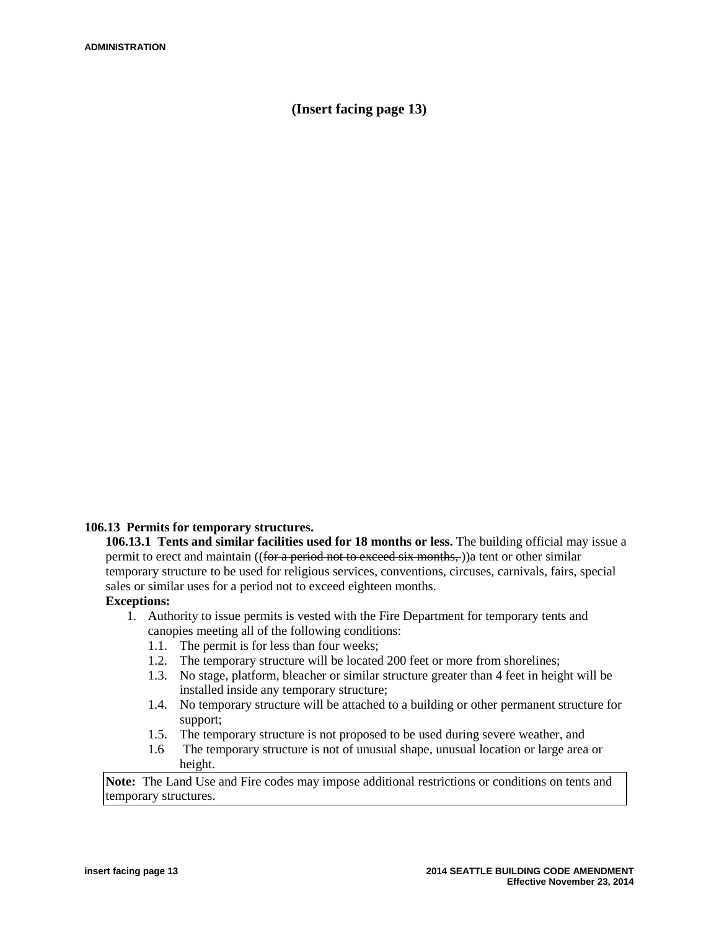## **(Insert facing page 13)**

### **106.13 Permits for temporary structures.**

**106.13.1 Tents and similar facilities used for 18 months or less.** The building official may issue a permit to erect and maintain ((for a period not to exceed six months,)) a tent or other similar temporary structure to be used for religious services, conventions, circuses, carnivals, fairs, special sales or similar uses for a period not to exceed eighteen months.

### **Exceptions:**

- 1. Authority to issue permits is vested with the Fire Department for temporary tents and canopies meeting all of the following conditions:
	- 1.1. The permit is for less than four weeks;
	- 1.2. The temporary structure will be located 200 feet or more from shorelines;
	- 1.3. No stage, platform, bleacher or similar structure greater than 4 feet in height will be installed inside any temporary structure;
	- 1.4. No temporary structure will be attached to a building or other permanent structure for support;
	- 1.5. The temporary structure is not proposed to be used during severe weather, and
	- 1.6 The temporary structure is not of unusual shape, unusual location or large area or height.

**Note:** The Land Use and Fire codes may impose additional restrictions or conditions on tents and temporary structures.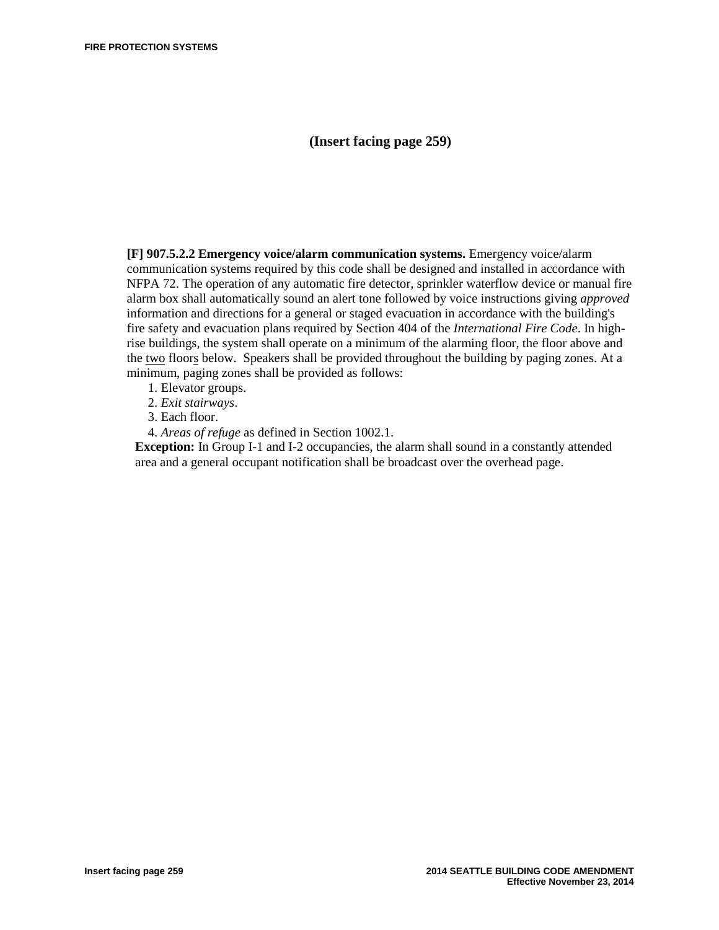### **(Insert facing page 259)**

**[F] 907.5.2.2 Emergency voice/alarm communication systems.** Emergency voice/alarm communication systems required by this code shall be designed and installed in accordance with NFPA 72. The operation of any automatic fire detector, sprinkler waterflow device or manual fire alarm box shall automatically sound an alert tone followed by voice instructions giving *approved*  information and directions for a general or staged evacuation in accordance with the building's fire safety and evacuation plans required by Section 404 of the *International Fire Code*. In highrise buildings, the system shall operate on a minimum of the alarming floor, the floor above and the two floors below. Speakers shall be provided throughout the building by paging zones. At a minimum, paging zones shall be provided as follows:

- 1. Elevator groups.
- 2. *Exit stairways*.
- 3. Each floor.
- 4. *Areas of refuge* as defined in Section 1002.1.

**Exception:** In Group I-1 and I-2 occupancies, the alarm shall sound in a constantly attended area and a general occupant notification shall be broadcast over the overhead page.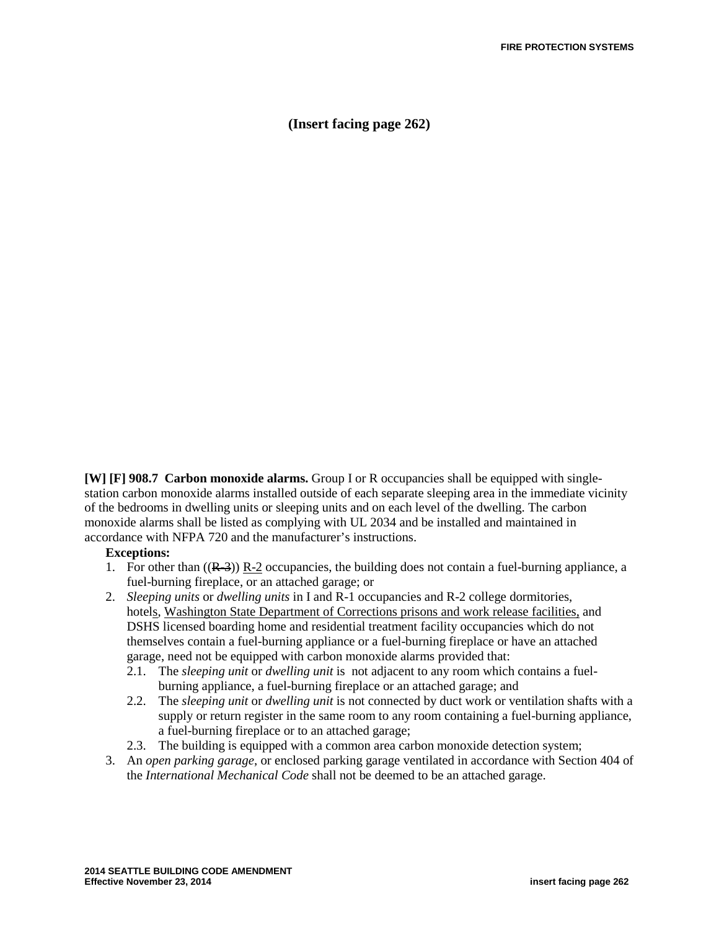**(Insert facing page 262)**

**[W] [F] 908.7 Carbon monoxide alarms.** Group I or R occupancies shall be equipped with singlestation carbon monoxide alarms installed outside of each separate sleeping area in the immediate vicinity of the bedrooms in dwelling units or sleeping units and on each level of the dwelling. The carbon monoxide alarms shall be listed as complying with UL 2034 and be installed and maintained in accordance with NFPA 720 and the manufacturer's instructions.

#### **Exceptions:**

- 1. For other than  $((R-3))$  R-2 occupancies, the building does not contain a fuel-burning appliance, a fuel-burning fireplace, or an attached garage; or
- 2. *Sleeping units* or *dwelling units* in I and R-1 occupancies and R-2 college dormitories, hotels, Washington State Department of Corrections prisons and work release facilities, and DSHS licensed boarding home and residential treatment facility occupancies which do not themselves contain a fuel-burning appliance or a fuel-burning fireplace or have an attached garage, need not be equipped with carbon monoxide alarms provided that:
	- 2.1. The *sleeping unit* or *dwelling unit* is not adjacent to any room which contains a fuelburning appliance, a fuel-burning fireplace or an attached garage; and
	- 2.2. The *sleeping unit* or *dwelling unit* is not connected by duct work or ventilation shafts with a supply or return register in the same room to any room containing a fuel-burning appliance, a fuel-burning fireplace or to an attached garage;
	- 2.3. The building is equipped with a common area carbon monoxide detection system;
- 3. An *open parking garage*, or enclosed parking garage ventilated in accordance with Section 404 of the *International Mechanical Code* shall not be deemed to be an attached garage.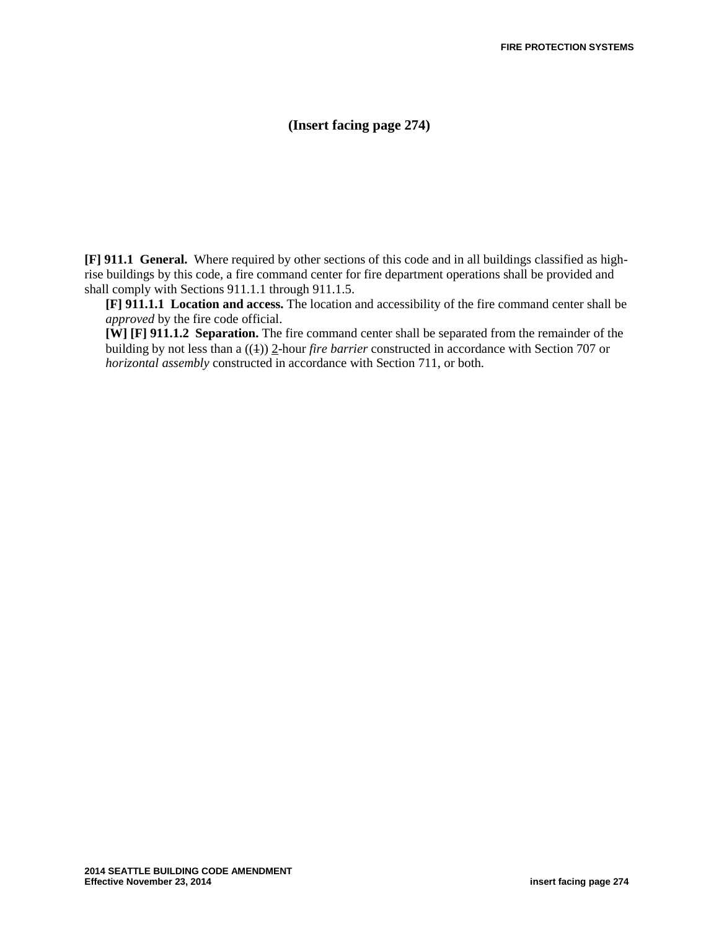## **(Insert facing page 274)**

**[F] 911.1 General.** Where required by other sections of this code and in all buildings classified as highrise buildings by this code, a fire command center for fire department operations shall be provided and shall comply with Sections 911.1.1 through 911.1.5.

**[F] 911.1.1 Location and access.** The location and accessibility of the fire command center shall be *approved* by the fire code official.

**[W] [F] 911.1.2 Separation.** The fire command center shall be separated from the remainder of the building by not less than a ((1)) 2-hour *fire barrier* constructed in accordance with Section 707 or *horizontal assembly* constructed in accordance with Section 711, or both.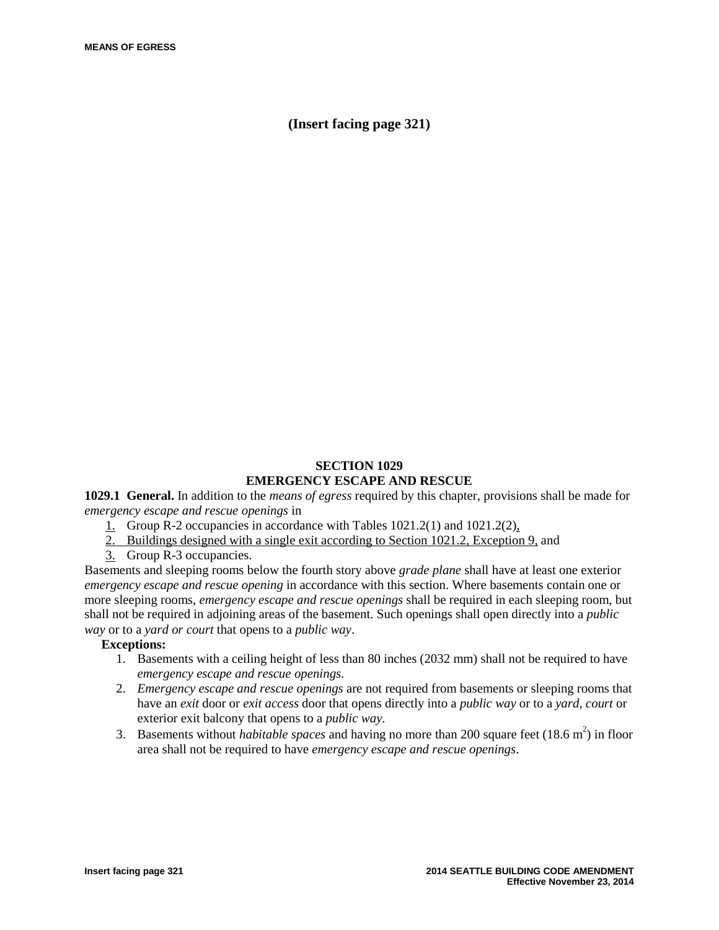**(Insert facing page 321)**

### **SECTION 1029 EMERGENCY ESCAPE AND RESCUE**

**1029.1 General.** In addition to the *means of egress* required by this chapter, provisions shall be made for *emergency escape and rescue openings* in

- 1. Group R-2 occupancies in accordance with Tables 1021.2(1) and 1021.2(2),
- 2. Buildings designed with a single exit according to Section 1021.2, Exception 9, and
- 3. Group R-3 occupancies.

Basements and sleeping rooms below the fourth story above *grade plane* shall have at least one exterior *emergency escape and rescue opening* in accordance with this section. Where basements contain one or more sleeping rooms, *emergency escape and rescue openings* shall be required in each sleeping room, but shall not be required in adjoining areas of the basement. Such openings shall open directly into a *public way* or to a *yard or court* that opens to a *public way*.

### **Exceptions:**

- 1. Basements with a ceiling height of less than 80 inches (2032 mm) shall not be required to have *emergency escape and rescue openings*.
- 2. *Emergency escape and rescue openings* are not required from basements or sleeping rooms that have an *exit* door or *exit access* door that opens directly into a *public way* or to a *yard*, *court* or exterior exit balcony that opens to a *public way*.
- 3. Basements without *habitable spaces* and having no more than 200 square feet  $(18.6 \text{ m}^2)$  in floor area shall not be required to have *emergency escape and rescue openings*.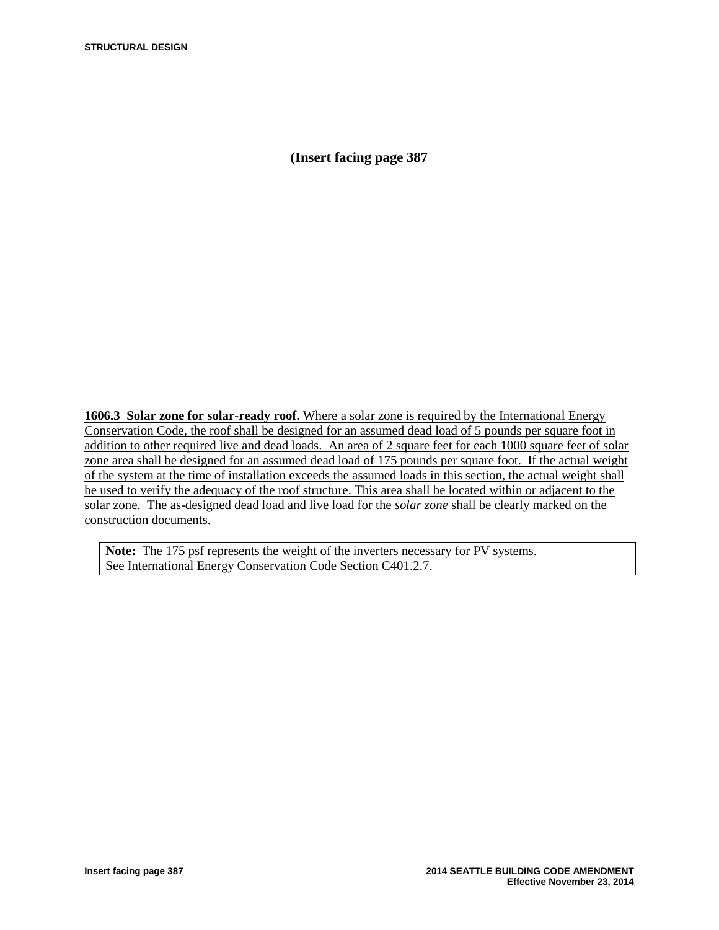**(Insert facing page 387**

**1606.3 Solar zone for solar-ready roof.** Where a solar zone is required by the International Energy Conservation Code, the roof shall be designed for an assumed dead load of 5 pounds per square foot in addition to other required live and dead loads. An area of 2 square feet for each 1000 square feet of solar zone area shall be designed for an assumed dead load of 175 pounds per square foot. If the actual weight of the system at the time of installation exceeds the assumed loads in this section, the actual weight shall be used to verify the adequacy of the roof structure. This area shall be located within or adjacent to the solar zone. The as-designed dead load and live load for the *solar zone* shall be clearly marked on the construction documents.

**Note:** The 175 psf represents the weight of the inverters necessary for PV systems. See International Energy Conservation Code Section C401.2.7.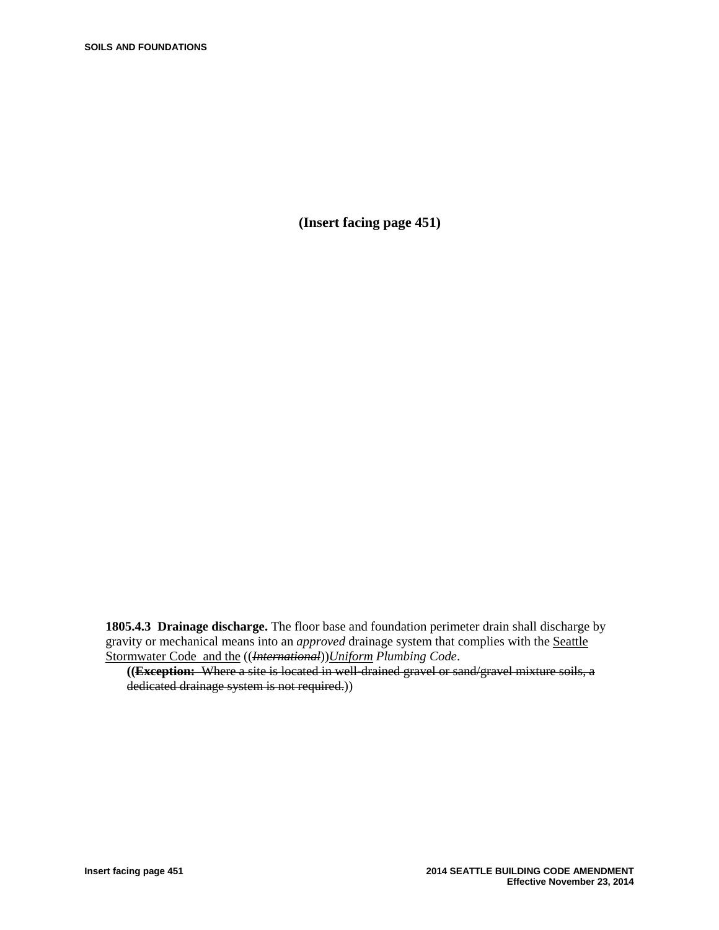**(Insert facing page 451)**

**1805.4.3 Drainage discharge.** The floor base and foundation perimeter drain shall discharge by gravity or mechanical means into an *approved* drainage system that complies with the Seattle Stormwater Code and the ((*International*))*Uniform Plumbing Code*.

**((Exception:** Where a site is located in well-drained gravel or sand/gravel mixture soils, a dedicated drainage system is not required.))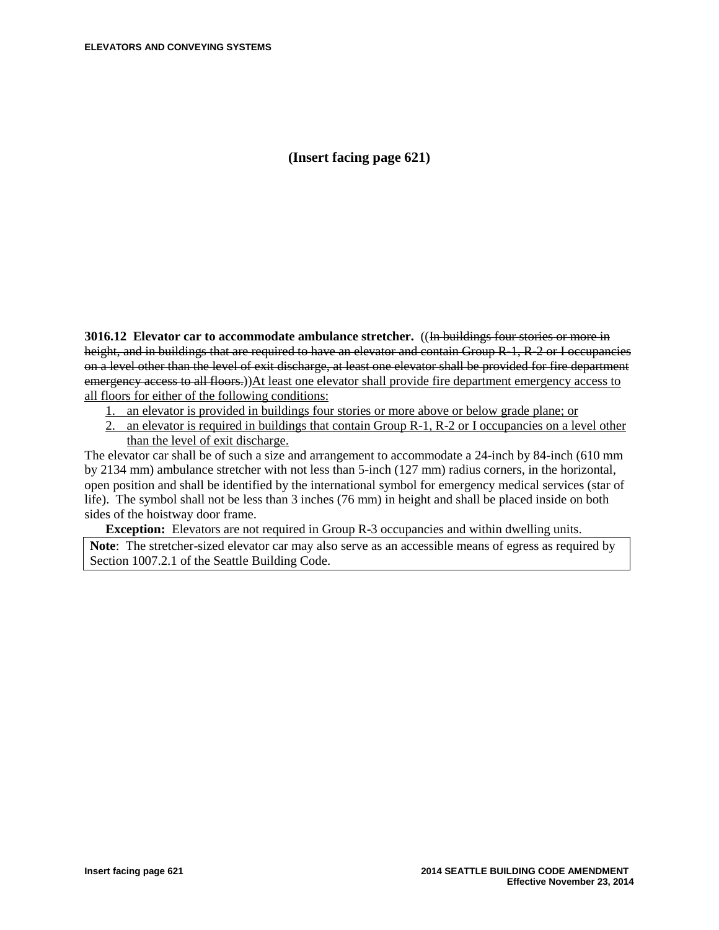**(Insert facing page 621)**

**3016.12 Elevator car to accommodate ambulance stretcher.** ((In buildings four stories or more in height, and in buildings that are required to have an elevator and contain Group R-1, R-2 or I occupancies on a level other than the level of exit discharge, at least one elevator shall be provided for fire department emergency access to all floors.))At least one elevator shall provide fire department emergency access to all floors for either of the following conditions:

- 1. an elevator is provided in buildings four stories or more above or below grade plane; or
- 2. an elevator is required in buildings that contain Group R-1, R-2 or I occupancies on a level other than the level of exit discharge.

The elevator car shall be of such a size and arrangement to accommodate a 24-inch by 84*-*inch (610 mm by 2134 mm) ambulance stretcher with not less than 5-inch (127 mm) radius corners, in the horizontal, open position and shall be identified by the international symbol for emergency medical services (star of life). The symbol shall not be less than 3 inches (76 mm) in height and shall be placed inside on both sides of the hoistway door frame.

**Exception:** Elevators are not required in Group R-3 occupancies and within dwelling units. **Note**: The stretcher-sized elevator car may also serve as an accessible means of egress as required by Section 1007.2.1 of the Seattle Building Code.